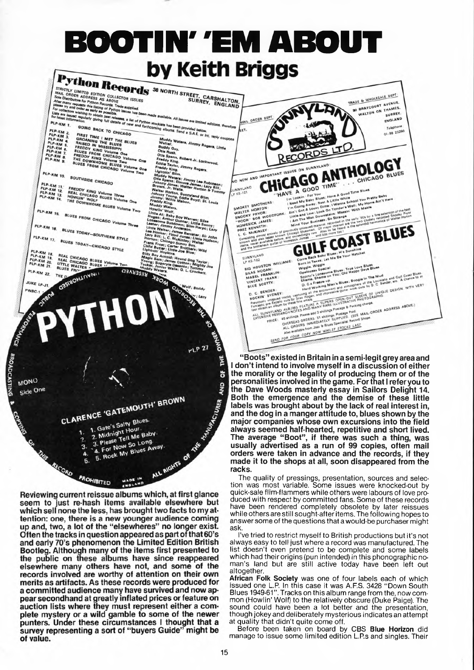

Reviewing current reissue albums which, at first glance seem to just re-hash items available elsewhere but which sell none the less, has brought two facts to my attention: one, there is a new younger audience coming up and, two, a lot of the "elsewheres" no longer exist. Often the tracks in question appeared as part of that 60's and early 70's phenomenon the Limited Edition British Bootleg. Although many of the items first presented to<br>the public on these albums have since reappeared elsewhere many others have not, and some of the records involved are worthy of attention on their own merits as artifacts. As these records were produced for a committed audience many have survived and now apa committed audience many have survived and now ap-<br>pear secondhand at greatly inflated prices or feature on<br>auction lists where they must represent either a complete mystery or a wild gamble to some of the newer punters. Under these circumstances I thought that a survey representing a sort of "buyers Guide" might be of value.

**BROADCASTING** 

The quality of pressings, presentation, sources and selection was most variable. Some issues were knocked-out by quick-sale flim-flammers while others were labours of love produced with respect by committed fans. Some of these records have been rendered completely obsolete by later reissues while others are still sought-after items. The following hopes to answer some of the questions that a would-be purchaser might ask.

I've tried to restrict myself to British productions but it's not always easy to tell just where a record was manufactured. The list doesn't even pretend to be complete and some labels which had their origins (pun intended) in this phonographic noman's land but are still active today have been left out altogether.

**African Folk Society** was one of four labels each of which issued one L.P. In this case it was A.F.S. 3428 "Down South Blues 1949-61''. Tracks on this album range from the, now common (Howlin' Wolf) to the relatively obscure (Duke Paige). The sound could have been a lot better and the presentation, though jokey and deliberately mysterious indicates an attempt at quality that didn't quite come off.

Before been taken on board by CBS **Blue Horizon** did manage to issue some limited edition L.P.s and singles. Their